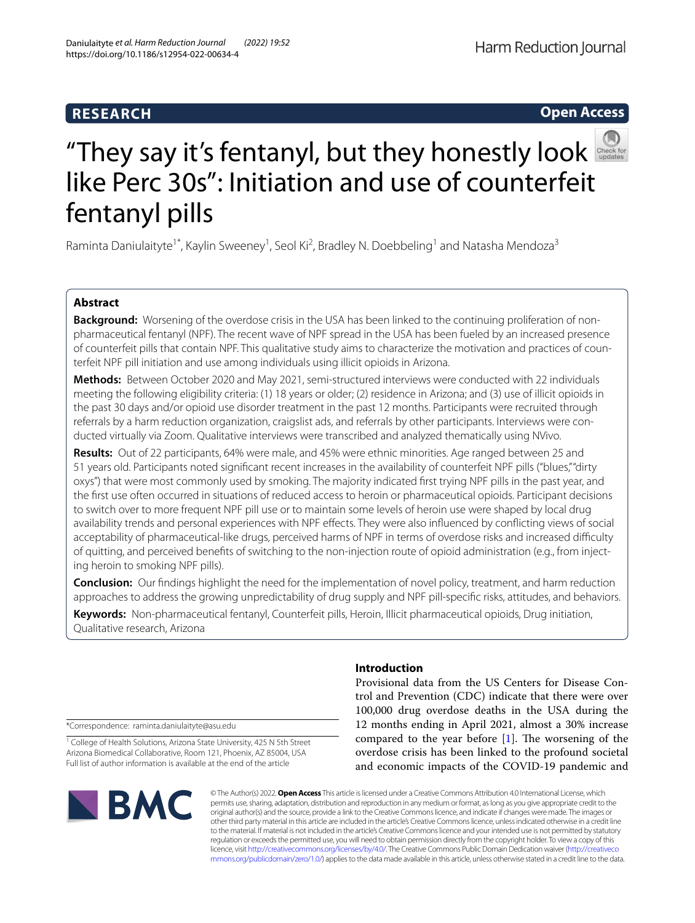# **RESEARCH**

# Harm Reduction Journal

## **Open Access**



# "Theysay it's fentanyl, but they honestly look like Perc 30s": Initiation and use of counterfeit fentanyl pills

Raminta Daniulaityte<sup>1\*</sup>, Kaylin Sweeney<sup>1</sup>, Seol Ki<sup>2</sup>, Bradley N. Doebbeling<sup>1</sup> and Natasha Mendoza<sup>3</sup>

# **Abstract**

**Background:** Worsening of the overdose crisis in the USA has been linked to the continuing proliferation of nonpharmaceutical fentanyl (NPF). The recent wave of NPF spread in the USA has been fueled by an increased presence of counterfeit pills that contain NPF. This qualitative study aims to characterize the motivation and practices of counterfeit NPF pill initiation and use among individuals using illicit opioids in Arizona.

**Methods:** Between October 2020 and May 2021, semi-structured interviews were conducted with 22 individuals meeting the following eligibility criteria: (1) 18 years or older; (2) residence in Arizona; and (3) use of illicit opioids in the past 30 days and/or opioid use disorder treatment in the past 12 months. Participants were recruited through referrals by a harm reduction organization, craigslist ads, and referrals by other participants. Interviews were conducted virtually via Zoom. Qualitative interviews were transcribed and analyzed thematically using NVivo.

**Results:** Out of 22 participants, 64% were male, and 45% were ethnic minorities. Age ranged between 25 and 51 years old. Participants noted signifcant recent increases in the availability of counterfeit NPF pills ("blues," "dirty oxys") that were most commonly used by smoking. The majority indicated frst trying NPF pills in the past year, and the frst use often occurred in situations of reduced access to heroin or pharmaceutical opioids. Participant decisions to switch over to more frequent NPF pill use or to maintain some levels of heroin use were shaped by local drug availability trends and personal experiences with NPF efects. They were also infuenced by conficting views of social acceptability of pharmaceutical-like drugs, perceived harms of NPF in terms of overdose risks and increased difculty of quitting, and perceived benefts of switching to the non-injection route of opioid administration (e.g., from injecting heroin to smoking NPF pills).

**Conclusion:** Our fndings highlight the need for the implementation of novel policy, treatment, and harm reduction approaches to address the growing unpredictability of drug supply and NPF pill-specifc risks, attitudes, and behaviors.

**Keywords:** Non-pharmaceutical fentanyl, Counterfeit pills, Heroin, Illicit pharmaceutical opioids, Drug initiation, Qualitative research, Arizona

\*Correspondence: raminta.daniulaityte@asu.edu

<sup>1</sup> College of Health Solutions, Arizona State University, 425 N 5th Street Arizona Biomedical Collaborative, Room 121, Phoenix, AZ 85004, USA Full list of author information is available at the end of the article



### **Introduction**

Provisional data from the US Centers for Disease Control and Prevention (CDC) indicate that there were over 100,000 drug overdose deaths in the USA during the 12 months ending in April 2021, almost a 30% increase compared to the year before  $[1]$  $[1]$ . The worsening of the overdose crisis has been linked to the profound societal and economic impacts of the COVID-19 pandemic and

© The Author(s) 2022. **Open Access** This article is licensed under a Creative Commons Attribution 4.0 International License, which permits use, sharing, adaptation, distribution and reproduction in any medium or format, as long as you give appropriate credit to the original author(s) and the source, provide a link to the Creative Commons licence, and indicate if changes were made. The images or other third party material in this article are included in the article's Creative Commons licence, unless indicated otherwise in a credit line to the material. If material is not included in the article's Creative Commons licence and your intended use is not permitted by statutory regulation or exceeds the permitted use, you will need to obtain permission directly from the copyright holder. To view a copy of this licence, visit [http://creativecommons.org/licenses/by/4.0/.](http://creativecommons.org/licenses/by/4.0/) The Creative Commons Public Domain Dedication waiver ([http://creativeco](http://creativecommons.org/publicdomain/zero/1.0/) [mmons.org/publicdomain/zero/1.0/](http://creativecommons.org/publicdomain/zero/1.0/)) applies to the data made available in this article, unless otherwise stated in a credit line to the data.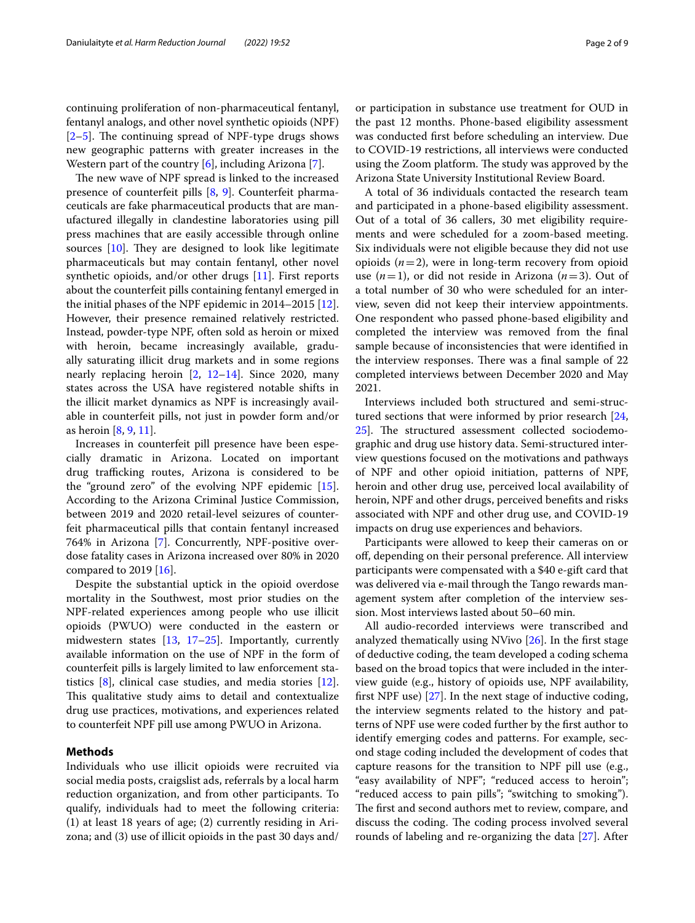continuing proliferation of non-pharmaceutical fentanyl, fentanyl analogs, and other novel synthetic opioids (NPF)  $[2-5]$  $[2-5]$ . The continuing spread of NPF-type drugs shows new geographic patterns with greater increases in the Western part of the country [[6\]](#page-7-3), including Arizona [[7\]](#page-7-4).

The new wave of NPF spread is linked to the increased presence of counterfeit pills [[8,](#page-7-5) [9\]](#page-7-6). Counterfeit pharmaceuticals are fake pharmaceutical products that are manufactured illegally in clandestine laboratories using pill press machines that are easily accessible through online sources  $[10]$  $[10]$ . They are designed to look like legitimate pharmaceuticals but may contain fentanyl, other novel synthetic opioids, and/or other drugs [[11\]](#page-8-1). First reports about the counterfeit pills containing fentanyl emerged in the initial phases of the NPF epidemic in 2014–2015 [\[12](#page-8-2)]. However, their presence remained relatively restricted. Instead, powder-type NPF, often sold as heroin or mixed with heroin, became increasingly available, gradually saturating illicit drug markets and in some regions nearly replacing heroin [\[2](#page-7-1), [12](#page-8-2)[–14](#page-8-3)]. Since 2020, many states across the USA have registered notable shifts in the illicit market dynamics as NPF is increasingly available in counterfeit pills, not just in powder form and/or as heroin  $[8, 9, 11]$  $[8, 9, 11]$  $[8, 9, 11]$  $[8, 9, 11]$  $[8, 9, 11]$  $[8, 9, 11]$ .

Increases in counterfeit pill presence have been especially dramatic in Arizona. Located on important drug trafficking routes, Arizona is considered to be the "ground zero" of the evolving NPF epidemic [\[15](#page-8-4)]. According to the Arizona Criminal Justice Commission, between 2019 and 2020 retail-level seizures of counterfeit pharmaceutical pills that contain fentanyl increased 764% in Arizona [[7](#page-7-4)]. Concurrently, NPF-positive overdose fatality cases in Arizona increased over 80% in 2020 compared to 2019 [[16\]](#page-8-5).

Despite the substantial uptick in the opioid overdose mortality in the Southwest, most prior studies on the NPF-related experiences among people who use illicit opioids (PWUO) were conducted in the eastern or midwestern states [\[13](#page-8-6), [17–](#page-8-7)[25\]](#page-8-8). Importantly, currently available information on the use of NPF in the form of counterfeit pills is largely limited to law enforcement statistics [[8\]](#page-7-5), clinical case studies, and media stories [\[12](#page-8-2)]. This qualitative study aims to detail and contextualize drug use practices, motivations, and experiences related to counterfeit NPF pill use among PWUO in Arizona.

#### **Methods**

Individuals who use illicit opioids were recruited via social media posts, craigslist ads, referrals by a local harm reduction organization, and from other participants. To qualify, individuals had to meet the following criteria: (1) at least 18 years of age; (2) currently residing in Arizona; and (3) use of illicit opioids in the past 30 days and/

or participation in substance use treatment for OUD in the past 12 months. Phone-based eligibility assessment was conducted frst before scheduling an interview. Due to COVID-19 restrictions, all interviews were conducted using the Zoom platform. The study was approved by the Arizona State University Institutional Review Board.

A total of 36 individuals contacted the research team and participated in a phone-based eligibility assessment. Out of a total of 36 callers, 30 met eligibility requirements and were scheduled for a zoom-based meeting. Six individuals were not eligible because they did not use opioids  $(n=2)$ , were in long-term recovery from opioid use (*n*=1), or did not reside in Arizona (*n*=3). Out of a total number of 30 who were scheduled for an interview, seven did not keep their interview appointments. One respondent who passed phone-based eligibility and completed the interview was removed from the fnal sample because of inconsistencies that were identifed in the interview responses. There was a final sample of 22 completed interviews between December 2020 and May 2021.

Interviews included both structured and semi-structured sections that were informed by prior research [[24](#page-8-9), [25\]](#page-8-8). The structured assessment collected sociodemographic and drug use history data. Semi-structured interview questions focused on the motivations and pathways of NPF and other opioid initiation, patterns of NPF, heroin and other drug use, perceived local availability of heroin, NPF and other drugs, perceived benefts and risks associated with NPF and other drug use, and COVID-19 impacts on drug use experiences and behaviors.

Participants were allowed to keep their cameras on or of, depending on their personal preference. All interview participants were compensated with a \$40 e-gift card that was delivered via e-mail through the Tango rewards management system after completion of the interview session. Most interviews lasted about 50–60 min.

All audio-recorded interviews were transcribed and analyzed thematically using NVivo [\[26](#page-8-10)]. In the frst stage of deductive coding, the team developed a coding schema based on the broad topics that were included in the interview guide (e.g., history of opioids use, NPF availability, frst NPF use) [[27](#page-8-11)]. In the next stage of inductive coding, the interview segments related to the history and patterns of NPF use were coded further by the frst author to identify emerging codes and patterns. For example, second stage coding included the development of codes that capture reasons for the transition to NPF pill use (e.g., "easy availability of NPF"; "reduced access to heroin"; "reduced access to pain pills"; "switching to smoking"). The first and second authors met to review, compare, and discuss the coding. The coding process involved several rounds of labeling and re-organizing the data [[27\]](#page-8-11). After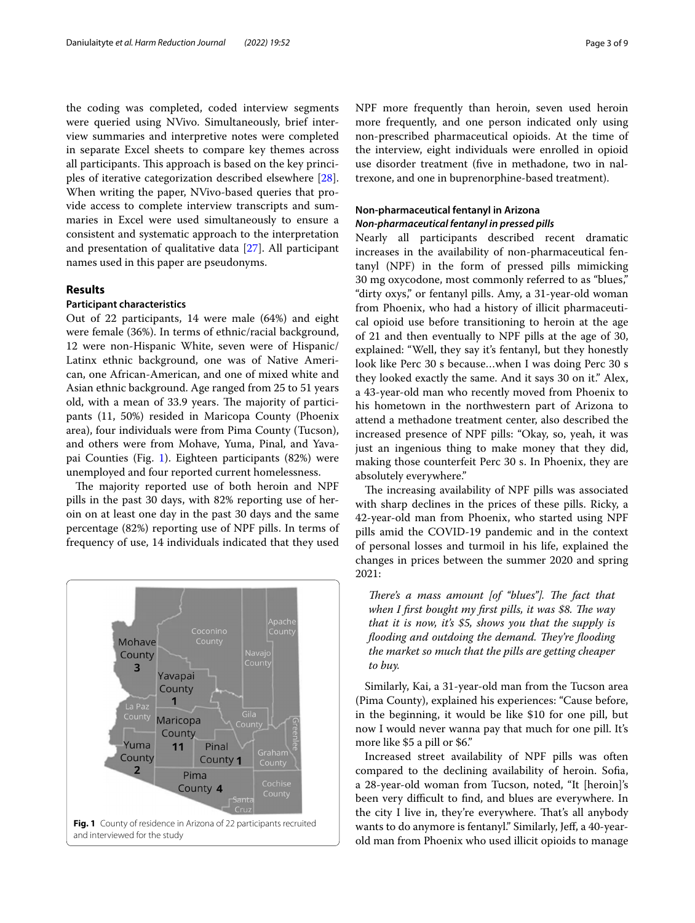the coding was completed, coded interview segments were queried using NVivo. Simultaneously, brief interview summaries and interpretive notes were completed in separate Excel sheets to compare key themes across all participants. This approach is based on the key principles of iterative categorization described elsewhere [\[28](#page-8-12)]. When writing the paper, NVivo-based queries that provide access to complete interview transcripts and summaries in Excel were used simultaneously to ensure a consistent and systematic approach to the interpretation and presentation of qualitative data [\[27](#page-8-11)]. All participant names used in this paper are pseudonyms.

#### **Results**

#### **Participant characteristics**

Out of 22 participants, 14 were male (64%) and eight were female (36%). In terms of ethnic/racial background, 12 were non-Hispanic White, seven were of Hispanic/ Latinx ethnic background, one was of Native American, one African-American, and one of mixed white and Asian ethnic background. Age ranged from 25 to 51 years old, with a mean of 33.9 years. The majority of participants (11, 50%) resided in Maricopa County (Phoenix area), four individuals were from Pima County (Tucson), and others were from Mohave, Yuma, Pinal, and Yavapai Counties (Fig. [1](#page-2-0)). Eighteen participants (82%) were unemployed and four reported current homelessness.

The majority reported use of both heroin and NPF pills in the past 30 days, with 82% reporting use of heroin on at least one day in the past 30 days and the same percentage (82%) reporting use of NPF pills. In terms of frequency of use, 14 individuals indicated that they used

<span id="page-2-0"></span>

NPF more frequently than heroin, seven used heroin more frequently, and one person indicated only using non-prescribed pharmaceutical opioids. At the time of the interview, eight individuals were enrolled in opioid use disorder treatment (fve in methadone, two in naltrexone, and one in buprenorphine-based treatment).

#### **Non‑pharmaceutical fentanyl in Arizona** *Non‑pharmaceutical fentanyl in pressed pills*

Nearly all participants described recent dramatic increases in the availability of non-pharmaceutical fentanyl (NPF) in the form of pressed pills mimicking 30 mg oxycodone, most commonly referred to as "blues," "dirty oxys," or fentanyl pills. Amy, a 31-year-old woman from Phoenix, who had a history of illicit pharmaceutical opioid use before transitioning to heroin at the age of 21 and then eventually to NPF pills at the age of 30, explained: "Well, they say it's fentanyl, but they honestly look like Perc 30 s because…when I was doing Perc 30 s they looked exactly the same. And it says 30 on it." Alex, a 43-year-old man who recently moved from Phoenix to his hometown in the northwestern part of Arizona to attend a methadone treatment center, also described the increased presence of NPF pills: "Okay, so, yeah, it was just an ingenious thing to make money that they did, making those counterfeit Perc 30 s. In Phoenix, they are absolutely everywhere."

The increasing availability of NPF pills was associated with sharp declines in the prices of these pills. Ricky, a 42-year-old man from Phoenix, who started using NPF pills amid the COVID-19 pandemic and in the context of personal losses and turmoil in his life, explained the changes in prices between the summer 2020 and spring 2021:

*There's a mass amount [of "blues"]. The fact that* when I first bought my first pills, it was \$8. The way *that it is now, it's \$5, shows you that the supply is flooding and outdoing the demand. They're flooding the market so much that the pills are getting cheaper to buy.*

Similarly, Kai, a 31-year-old man from the Tucson area (Pima County), explained his experiences: "Cause before, in the beginning, it would be like \$10 for one pill, but now I would never wanna pay that much for one pill. It's more like \$5 a pill or \$6."

Increased street availability of NPF pills was often compared to the declining availability of heroin. Sofa, a 28-year-old woman from Tucson, noted, "It [heroin]'s been very difficult to find, and blues are everywhere. In the city I live in, they're everywhere. That's all anybody wants to do anymore is fentanyl." Similarly, Jeff, a 40-yearold man from Phoenix who used illicit opioids to manage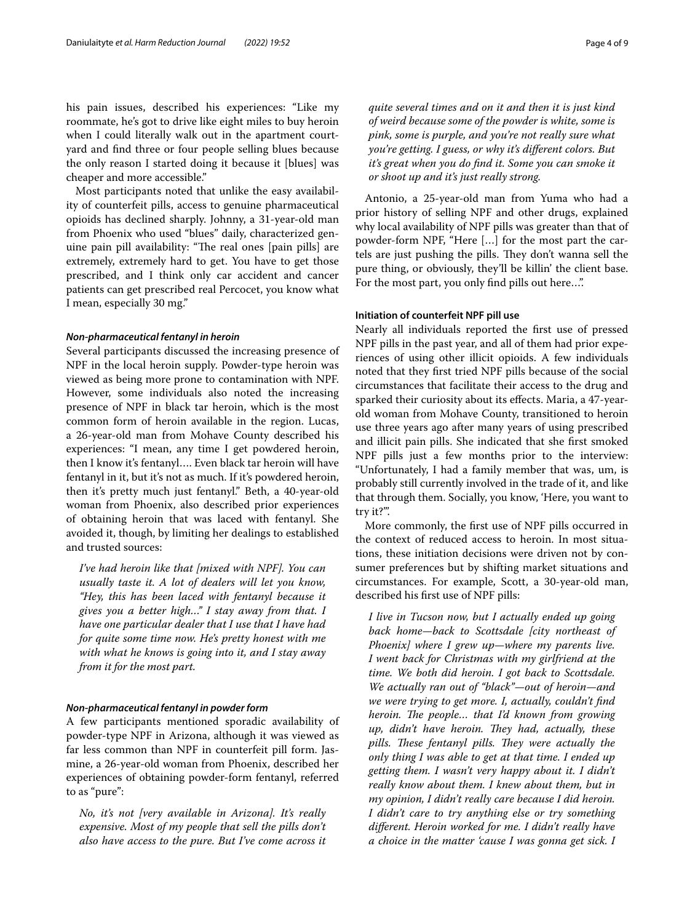his pain issues, described his experiences: "Like my roommate, he's got to drive like eight miles to buy heroin when I could literally walk out in the apartment courtyard and fnd three or four people selling blues because the only reason I started doing it because it [blues] was cheaper and more accessible."

Most participants noted that unlike the easy availability of counterfeit pills, access to genuine pharmaceutical opioids has declined sharply. Johnny, a 31-year-old man from Phoenix who used "blues" daily, characterized genuine pain pill availability: "The real ones [pain pills] are extremely, extremely hard to get. You have to get those prescribed, and I think only car accident and cancer patients can get prescribed real Percocet, you know what I mean, especially 30 mg."

#### *Non‑pharmaceutical fentanyl in heroin*

Several participants discussed the increasing presence of NPF in the local heroin supply. Powder-type heroin was viewed as being more prone to contamination with NPF. However, some individuals also noted the increasing presence of NPF in black tar heroin, which is the most common form of heroin available in the region. Lucas, a 26-year-old man from Mohave County described his experiences: "I mean, any time I get powdered heroin, then I know it's fentanyl…. Even black tar heroin will have fentanyl in it, but it's not as much. If it's powdered heroin, then it's pretty much just fentanyl." Beth, a 40-year-old woman from Phoenix, also described prior experiences of obtaining heroin that was laced with fentanyl. She avoided it, though, by limiting her dealings to established and trusted sources:

*I've had heroin like that [mixed with NPF]. You can usually taste it. A lot of dealers will let you know, "Hey, this has been laced with fentanyl because it gives you a better high…" I stay away from that. I have one particular dealer that I use that I have had for quite some time now. He's pretty honest with me with what he knows is going into it, and I stay away from it for the most part.*

#### *Non‑pharmaceutical fentanyl in powder form*

A few participants mentioned sporadic availability of powder-type NPF in Arizona, although it was viewed as far less common than NPF in counterfeit pill form. Jasmine, a 26-year-old woman from Phoenix, described her experiences of obtaining powder-form fentanyl, referred to as "pure":

*No, it's not [very available in Arizona]. It's really expensive. Most of my people that sell the pills don't also have access to the pure. But I've come across it* 

*quite several times and on it and then it is just kind of weird because some of the powder is white, some is pink, some is purple, and you're not really sure what you're getting. I guess, or why it's diferent colors. But it's great when you do fnd it. Some you can smoke it or shoot up and it's just really strong.*

Antonio, a 25-year-old man from Yuma who had a prior history of selling NPF and other drugs, explained why local availability of NPF pills was greater than that of powder-form NPF, "Here […] for the most part the cartels are just pushing the pills. They don't wanna sell the pure thing, or obviously, they'll be killin' the client base. For the most part, you only find pills out here...".

#### **Initiation of counterfeit NPF pill use**

Nearly all individuals reported the frst use of pressed NPF pills in the past year, and all of them had prior experiences of using other illicit opioids. A few individuals noted that they frst tried NPF pills because of the social circumstances that facilitate their access to the drug and sparked their curiosity about its efects. Maria, a 47-yearold woman from Mohave County, transitioned to heroin use three years ago after many years of using prescribed and illicit pain pills. She indicated that she frst smoked NPF pills just a few months prior to the interview: "Unfortunately, I had a family member that was, um, is probably still currently involved in the trade of it, and like that through them. Socially, you know, 'Here, you want to try it?'".

More commonly, the frst use of NPF pills occurred in the context of reduced access to heroin. In most situations, these initiation decisions were driven not by consumer preferences but by shifting market situations and circumstances. For example, Scott, a 30-year-old man, described his frst use of NPF pills:

*I live in Tucson now, but I actually ended up going back home—back to Scottsdale [city northeast of Phoenix] where I grew up—where my parents live. I went back for Christmas with my girlfriend at the time. We both did heroin. I got back to Scottsdale. We actually ran out of "black"—out of heroin—and we were trying to get more. I, actually, couldn't fnd heroin. The people... that I'd known from growing up, didn't have heroin. They had, actually, these* pills. These fentanyl pills. They were actually the *only thing I was able to get at that time. I ended up getting them. I wasn't very happy about it. I didn't really know about them. I knew about them, but in my opinion, I didn't really care because I did heroin. I didn't care to try anything else or try something diferent. Heroin worked for me. I didn't really have a choice in the matter 'cause I was gonna get sick. I*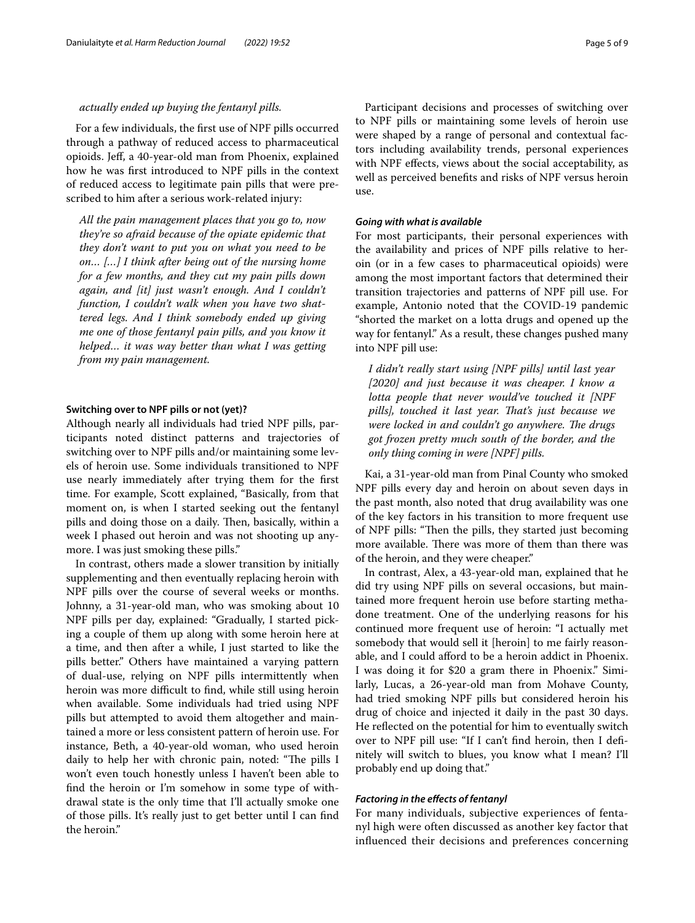#### *actually ended up buying the fentanyl pills.*

For a few individuals, the frst use of NPF pills occurred through a pathway of reduced access to pharmaceutical opioids. Jef, a 40-year-old man from Phoenix, explained how he was frst introduced to NPF pills in the context of reduced access to legitimate pain pills that were prescribed to him after a serious work-related injury:

*All the pain management places that you go to, now they're so afraid because of the opiate epidemic that they don't want to put you on what you need to be on… […] I think after being out of the nursing home for a few months, and they cut my pain pills down again, and [it] just wasn't enough. And I couldn't function, I couldn't walk when you have two shattered legs. And I think somebody ended up giving me one of those fentanyl pain pills, and you know it helped… it was way better than what I was getting from my pain management.*

#### **Switching over to NPF pills or not (yet)?**

Although nearly all individuals had tried NPF pills, participants noted distinct patterns and trajectories of switching over to NPF pills and/or maintaining some levels of heroin use. Some individuals transitioned to NPF use nearly immediately after trying them for the frst time. For example, Scott explained, "Basically, from that moment on, is when I started seeking out the fentanyl pills and doing those on a daily. Then, basically, within a week I phased out heroin and was not shooting up anymore. I was just smoking these pills."

In contrast, others made a slower transition by initially supplementing and then eventually replacing heroin with NPF pills over the course of several weeks or months. Johnny, a 31-year-old man, who was smoking about 10 NPF pills per day, explained: "Gradually, I started picking a couple of them up along with some heroin here at a time, and then after a while, I just started to like the pills better." Others have maintained a varying pattern of dual-use, relying on NPF pills intermittently when heroin was more difficult to find, while still using heroin when available. Some individuals had tried using NPF pills but attempted to avoid them altogether and maintained a more or less consistent pattern of heroin use. For instance, Beth, a 40-year-old woman, who used heroin daily to help her with chronic pain, noted: "The pills I won't even touch honestly unless I haven't been able to fnd the heroin or I'm somehow in some type of withdrawal state is the only time that I'll actually smoke one of those pills. It's really just to get better until I can fnd the heroin."

Participant decisions and processes of switching over to NPF pills or maintaining some levels of heroin use were shaped by a range of personal and contextual factors including availability trends, personal experiences with NPF efects, views about the social acceptability, as well as perceived benefts and risks of NPF versus heroin use.

#### *Going with what is available*

For most participants, their personal experiences with the availability and prices of NPF pills relative to heroin (or in a few cases to pharmaceutical opioids) were among the most important factors that determined their transition trajectories and patterns of NPF pill use. For example, Antonio noted that the COVID-19 pandemic "shorted the market on a lotta drugs and opened up the way for fentanyl." As a result, these changes pushed many into NPF pill use:

*I didn't really start using [NPF pills] until last year [2020] and just because it was cheaper. I know a lotta people that never would've touched it [NPF*  pills], touched it last year. That's just because we *were locked in and couldn't go anywhere. The drugs got frozen pretty much south of the border, and the only thing coming in were [NPF] pills.*

Kai, a 31-year-old man from Pinal County who smoked NPF pills every day and heroin on about seven days in the past month, also noted that drug availability was one of the key factors in his transition to more frequent use of NPF pills: "Then the pills, they started just becoming more available. There was more of them than there was of the heroin, and they were cheaper."

In contrast, Alex, a 43-year-old man, explained that he did try using NPF pills on several occasions, but maintained more frequent heroin use before starting methadone treatment. One of the underlying reasons for his continued more frequent use of heroin: "I actually met somebody that would sell it [heroin] to me fairly reasonable, and I could afford to be a heroin addict in Phoenix. I was doing it for \$20 a gram there in Phoenix." Similarly, Lucas, a 26-year-old man from Mohave County, had tried smoking NPF pills but considered heroin his drug of choice and injected it daily in the past 30 days. He reflected on the potential for him to eventually switch over to NPF pill use: "If I can't fnd heroin, then I defnitely will switch to blues, you know what I mean? I'll probably end up doing that."

#### *Factoring in the efects of fentanyl*

For many individuals, subjective experiences of fentanyl high were often discussed as another key factor that infuenced their decisions and preferences concerning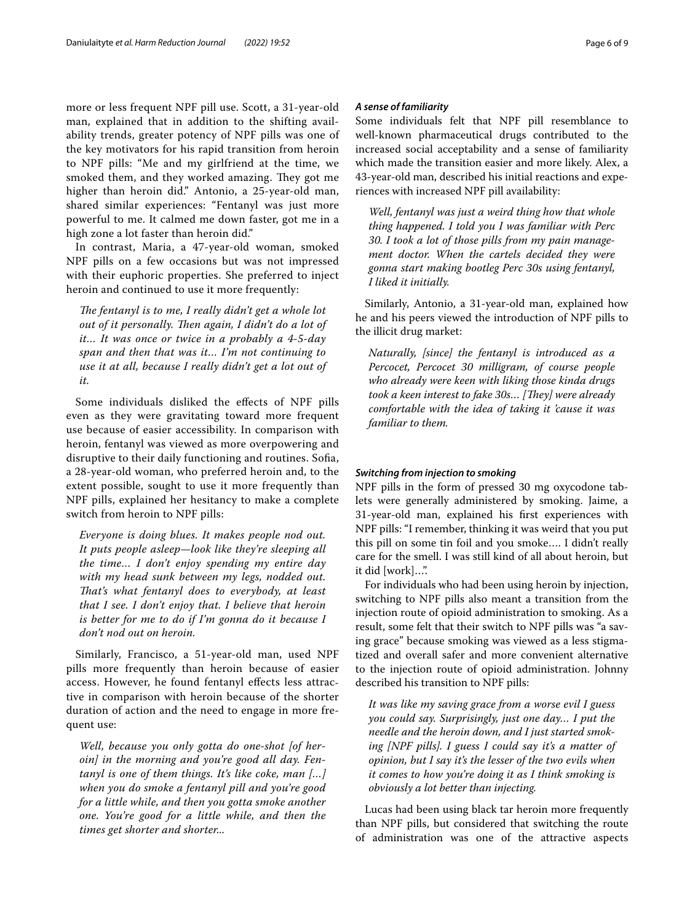more or less frequent NPF pill use. Scott, a 31-year-old man, explained that in addition to the shifting availability trends, greater potency of NPF pills was one of the key motivators for his rapid transition from heroin to NPF pills: "Me and my girlfriend at the time, we smoked them, and they worked amazing. They got me higher than heroin did." Antonio, a 25-year-old man, shared similar experiences: "Fentanyl was just more powerful to me. It calmed me down faster, got me in a high zone a lot faster than heroin did."

In contrast, Maria, a 47-year-old woman, smoked NPF pills on a few occasions but was not impressed with their euphoric properties. She preferred to inject heroin and continued to use it more frequently:

The fentanyl is to me, I really didn't get a whole lot out of it personally. Then again, I didn't do a lot of *it… It was once or twice in a probably a 4-5-day span and then that was it… I'm not continuing to use it at all, because I really didn't get a lot out of it.*

Some individuals disliked the efects of NPF pills even as they were gravitating toward more frequent use because of easier accessibility. In comparison with heroin, fentanyl was viewed as more overpowering and disruptive to their daily functioning and routines. Sofa, a 28-year-old woman, who preferred heroin and, to the extent possible, sought to use it more frequently than NPF pills, explained her hesitancy to make a complete switch from heroin to NPF pills:

*Everyone is doing blues. It makes people nod out. It puts people asleep—look like they're sleeping all the time… I don't enjoy spending my entire day with my head sunk between my legs, nodded out. Tat's what fentanyl does to everybody, at least that I see. I don't enjoy that. I believe that heroin is better for me to do if I'm gonna do it because I don't nod out on heroin.*

Similarly, Francisco, a 51-year-old man, used NPF pills more frequently than heroin because of easier access. However, he found fentanyl efects less attractive in comparison with heroin because of the shorter duration of action and the need to engage in more frequent use:

*Well, because you only gotta do one-shot [of heroin] in the morning and you're good all day. Fentanyl is one of them things. It's like coke, man […] when you do smoke a fentanyl pill and you're good for a little while, and then you gotta smoke another one. You're good for a little while, and then the times get shorter and shorter...*

#### *A sense of familiarity*

Some individuals felt that NPF pill resemblance to well-known pharmaceutical drugs contributed to the increased social acceptability and a sense of familiarity which made the transition easier and more likely. Alex, a 43-year-old man, described his initial reactions and experiences with increased NPF pill availability:

*Well, fentanyl was just a weird thing how that whole thing happened. I told you I was familiar with Perc 30. I took a lot of those pills from my pain management doctor. When the cartels decided they were gonna start making bootleg Perc 30s using fentanyl, I liked it initially.*

Similarly, Antonio, a 31-year-old man, explained how he and his peers viewed the introduction of NPF pills to the illicit drug market:

*Naturally, [since] the fentanyl is introduced as a Percocet, Percocet 30 milligram, of course people who already were keen with liking those kinda drugs*  took a keen interest to fake 30s... [They] were already *comfortable with the idea of taking it 'cause it was familiar to them.*

#### *Switching from injection to smoking*

NPF pills in the form of pressed 30 mg oxycodone tablets were generally administered by smoking. Jaime, a 31-year-old man, explained his frst experiences with NPF pills: "I remember, thinking it was weird that you put this pill on some tin foil and you smoke…. I didn't really care for the smell. I was still kind of all about heroin, but it did [work]…".

For individuals who had been using heroin by injection, switching to NPF pills also meant a transition from the injection route of opioid administration to smoking. As a result, some felt that their switch to NPF pills was "a saving grace" because smoking was viewed as a less stigmatized and overall safer and more convenient alternative to the injection route of opioid administration. Johnny described his transition to NPF pills:

*It was like my saving grace from a worse evil I guess you could say. Surprisingly, just one day… I put the needle and the heroin down, and I just started smoking [NPF pills]. I guess I could say it's a matter of opinion, but I say it's the lesser of the two evils when it comes to how you're doing it as I think smoking is obviously a lot better than injecting.*

Lucas had been using black tar heroin more frequently than NPF pills, but considered that switching the route of administration was one of the attractive aspects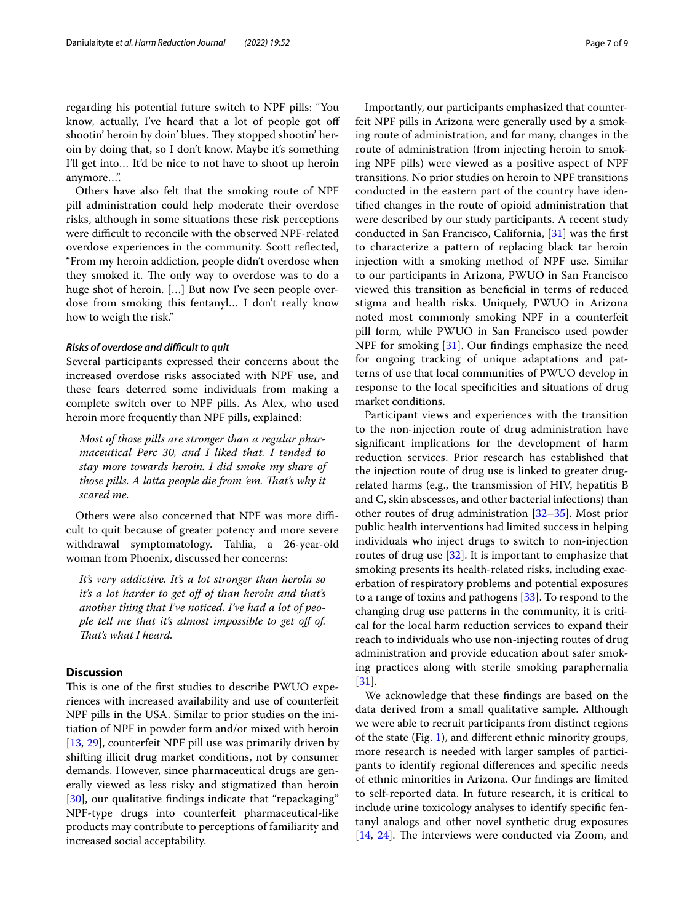regarding his potential future switch to NPF pills: "You know, actually, I've heard that a lot of people got of shootin' heroin by doin' blues. They stopped shootin' heroin by doing that, so I don't know. Maybe it's something I'll get into… It'd be nice to not have to shoot up heroin anymore…".

Others have also felt that the smoking route of NPF pill administration could help moderate their overdose risks, although in some situations these risk perceptions were difficult to reconcile with the observed NPF-related overdose experiences in the community. Scott refected, "From my heroin addiction, people didn't overdose when they smoked it. The only way to overdose was to do a huge shot of heroin. […] But now I've seen people overdose from smoking this fentanyl… I don't really know how to weigh the risk."

#### *Risks of overdose and difcult to quit*

Several participants expressed their concerns about the increased overdose risks associated with NPF use, and these fears deterred some individuals from making a complete switch over to NPF pills. As Alex, who used heroin more frequently than NPF pills, explained:

*Most of those pills are stronger than a regular pharmaceutical Perc 30, and I liked that. I tended to stay more towards heroin. I did smoke my share of those pills. A lotta people die from 'em. Tat's why it scared me.*

Others were also concerned that NPF was more difficult to quit because of greater potency and more severe withdrawal symptomatology. Tahlia, a 26-year-old woman from Phoenix, discussed her concerns:

*It's very addictive. It's a lot stronger than heroin so it's a lot harder to get of of than heroin and that's another thing that I've noticed. I've had a lot of people tell me that it's almost impossible to get off of. Tat's what I heard.*

#### **Discussion**

This is one of the first studies to describe PWUO experiences with increased availability and use of counterfeit NPF pills in the USA. Similar to prior studies on the initiation of NPF in powder form and/or mixed with heroin [[13,](#page-8-6) [29](#page-8-13)], counterfeit NPF pill use was primarily driven by shifting illicit drug market conditions, not by consumer demands. However, since pharmaceutical drugs are generally viewed as less risky and stigmatized than heroin [[30\]](#page-8-14), our qualitative findings indicate that "repackaging" NPF-type drugs into counterfeit pharmaceutical-like products may contribute to perceptions of familiarity and increased social acceptability.

Importantly, our participants emphasized that counterfeit NPF pills in Arizona were generally used by a smoking route of administration, and for many, changes in the route of administration (from injecting heroin to smoking NPF pills) were viewed as a positive aspect of NPF transitions. No prior studies on heroin to NPF transitions conducted in the eastern part of the country have identifed changes in the route of opioid administration that were described by our study participants. A recent study conducted in San Francisco, California, [[31](#page-8-15)] was the frst to characterize a pattern of replacing black tar heroin injection with a smoking method of NPF use. Similar to our participants in Arizona, PWUO in San Francisco viewed this transition as benefcial in terms of reduced stigma and health risks. Uniquely, PWUO in Arizona noted most commonly smoking NPF in a counterfeit pill form, while PWUO in San Francisco used powder NPF for smoking [\[31\]](#page-8-15). Our fndings emphasize the need for ongoing tracking of unique adaptations and patterns of use that local communities of PWUO develop in response to the local specifcities and situations of drug market conditions.

Participant views and experiences with the transition to the non-injection route of drug administration have signifcant implications for the development of harm reduction services. Prior research has established that the injection route of drug use is linked to greater drugrelated harms (e.g., the transmission of HIV, hepatitis B and C, skin abscesses, and other bacterial infections) than other routes of drug administration [\[32](#page-8-16)–[35\]](#page-8-17). Most prior public health interventions had limited success in helping individuals who inject drugs to switch to non-injection routes of drug use [\[32](#page-8-16)]. It is important to emphasize that smoking presents its health-related risks, including exacerbation of respiratory problems and potential exposures to a range of toxins and pathogens [\[33\]](#page-8-18). To respond to the changing drug use patterns in the community, it is critical for the local harm reduction services to expand their reach to individuals who use non-injecting routes of drug administration and provide education about safer smoking practices along with sterile smoking paraphernalia [[31\]](#page-8-15).

We acknowledge that these fndings are based on the data derived from a small qualitative sample. Although we were able to recruit participants from distinct regions of the state (Fig. [1](#page-2-0)), and diferent ethnic minority groups, more research is needed with larger samples of participants to identify regional diferences and specifc needs of ethnic minorities in Arizona. Our fndings are limited to self-reported data. In future research, it is critical to include urine toxicology analyses to identify specifc fentanyl analogs and other novel synthetic drug exposures  $[14, 24]$  $[14, 24]$  $[14, 24]$  $[14, 24]$  $[14, 24]$ . The interviews were conducted via Zoom, and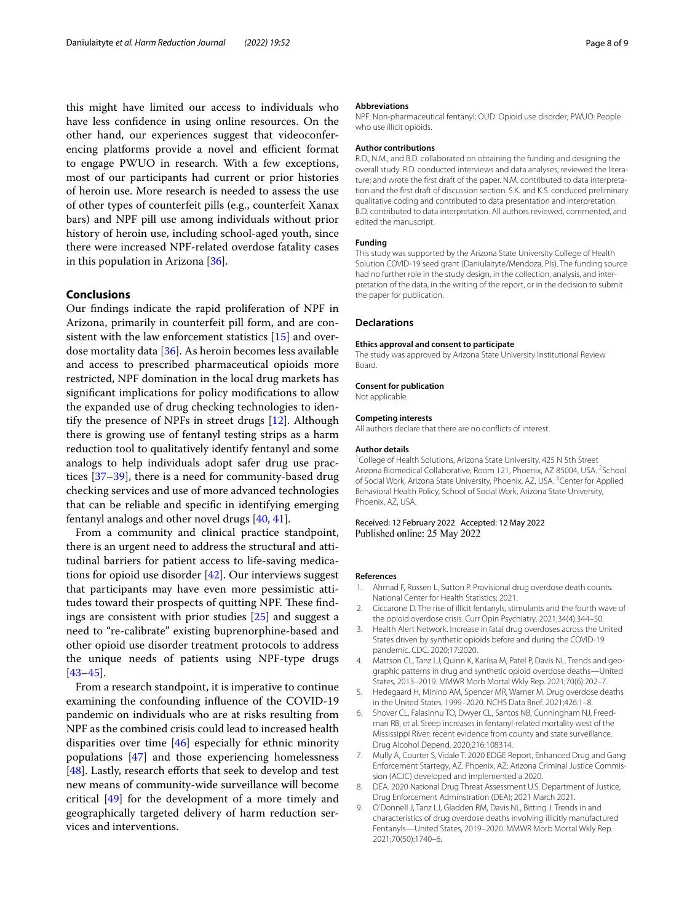this might have limited our access to individuals who have less confdence in using online resources. On the other hand, our experiences suggest that videoconferencing platforms provide a novel and efficient format to engage PWUO in research. With a few exceptions, most of our participants had current or prior histories of heroin use. More research is needed to assess the use of other types of counterfeit pills (e.g., counterfeit Xanax bars) and NPF pill use among individuals without prior history of heroin use, including school-aged youth, since there were increased NPF-related overdose fatality cases in this population in Arizona [\[36](#page-8-19)].

#### **Conclusions**

Our fndings indicate the rapid proliferation of NPF in Arizona, primarily in counterfeit pill form, and are consistent with the law enforcement statistics [[15](#page-8-4)] and overdose mortality data [[36\]](#page-8-19). As heroin becomes less available and access to prescribed pharmaceutical opioids more restricted, NPF domination in the local drug markets has signifcant implications for policy modifcations to allow the expanded use of drug checking technologies to identify the presence of NPFs in street drugs [\[12](#page-8-2)]. Although there is growing use of fentanyl testing strips as a harm reduction tool to qualitatively identify fentanyl and some analogs to help individuals adopt safer drug use practices [\[37](#page-8-20)[–39](#page-8-21)], there is a need for community-based drug checking services and use of more advanced technologies that can be reliable and specifc in identifying emerging fentanyl analogs and other novel drugs [[40](#page-8-22), [41\]](#page-8-23).

From a community and clinical practice standpoint, there is an urgent need to address the structural and attitudinal barriers for patient access to life-saving medications for opioid use disorder  $[42]$  $[42]$ . Our interviews suggest that participants may have even more pessimistic attitudes toward their prospects of quitting NPF. These findings are consistent with prior studies [[25\]](#page-8-8) and suggest a need to "re-calibrate" existing buprenorphine-based and other opioid use disorder treatment protocols to address the unique needs of patients using NPF-type drugs [[43–](#page-8-25)[45](#page-8-26)].

From a research standpoint, it is imperative to continue examining the confounding infuence of the COVID-19 pandemic on individuals who are at risks resulting from NPF as the combined crisis could lead to increased health disparities over time [[46\]](#page-8-27) especially for ethnic minority populations [\[47\]](#page-8-28) and those experiencing homelessness [ $48$ ]. Lastly, research efforts that seek to develop and test new means of community-wide surveillance will become critical [\[49](#page-8-30)] for the development of a more timely and geographically targeted delivery of harm reduction services and interventions.

#### **Abbreviations**

NPF: Non-pharmaceutical fentanyl; OUD: Opioid use disorder; PWUO: People who use illicit opioids.

#### **Author contributions**

R.D., N.M., and B.D. collaborated on obtaining the funding and designing the overall study. R.D. conducted interviews and data analyses; reviewed the literature; and wrote the frst draft of the paper. N.M. contributed to data interpretation and the frst draft of discussion section. S.K. and K.S. conduced preliminary qualitative coding and contributed to data presentation and interpretation. B.D. contributed to data interpretation. All authors reviewed, commented, and edited the manuscript.

#### **Funding**

This study was supported by the Arizona State University College of Health Solution COVID-19 seed grant (Daniulaityte/Mendoza, PIs). The funding source had no further role in the study design, in the collection, analysis, and interpretation of the data, in the writing of the report, or in the decision to submit the paper for publication.

#### **Declarations**

#### **Ethics approval and consent to participate**

The study was approved by Arizona State University Institutional Review Board.

#### **Consent for publication**

Not applicable.

#### **Competing interests**

All authors declare that there are no conficts of interest.

#### **Author details**

<sup>1</sup> College of Health Solutions, Arizona State University, 425 N 5th Street Arizona Biomedical Collaborative, Room 121, Phoenix, AZ 85004, USA. <sup>2</sup>School of Social Work, Arizona State University, Phoenix, AZ, USA. <sup>3</sup> Center for Applied Behavioral Health Policy, School of Social Work, Arizona State University, Phoenix, AZ, USA.

#### Received: 12 February 2022 Accepted: 12 May 2022 Published online: 25 May 2022

#### **References**

- <span id="page-7-0"></span>1. Ahmad F, Rossen L, Sutton P. Provisional drug overdose death counts. National Center for Health Statistics; 2021.
- <span id="page-7-1"></span>2. Ciccarone D. The rise of illicit fentanyls, stimulants and the fourth wave of the opioid overdose crisis. Curr Opin Psychiatry. 2021;34(4):344–50.
- 3. Health Alert Network. Increase in fatal drug overdoses across the United States driven by synthetic opioids before and during the COVID-19 pandemic. CDC. 2020;17:2020.
- 4. Mattson CL, Tanz LJ, Quinn K, Kariisa M, Patel P, Davis NL. Trends and geographic patterns in drug and synthetic opioid overdose deaths—United States, 2013–2019. MMWR Morb Mortal Wkly Rep. 2021;70(6):202–7.
- <span id="page-7-2"></span>5. Hedegaard H, Minino AM, Spencer MR, Warner M. Drug overdose deaths in the United States, 1999–2020. NCHS Data Brief. 2021;426:1–8.
- <span id="page-7-3"></span>6. Shover CL, Falasinnu TO, Dwyer CL, Santos NB, Cunningham NJ, Freedman RB, et al. Steep increases in fentanyl-related mortality west of the Mississippi River: recent evidence from county and state surveillance. Drug Alcohol Depend. 2020;216:108314.
- <span id="page-7-4"></span>7. Mully A, Courter S, Vidale T. 2020 EDGE Report, Enhanced Drug and Gang Enforcement Startegy, AZ. Phoenix, AZ: Arizona Criminal Justice Commission (ACJC) developed and implemented a 2020.
- <span id="page-7-5"></span>8. DEA. 2020 National Drug Threat Assessment U.S. Department of Justice, Drug Enforcement Adminstration (DEA); 2021 March 2021.
- <span id="page-7-6"></span>9. O'Donnell J, Tanz LJ, Gladden RM, Davis NL, Bitting J. Trends in and characteristics of drug overdose deaths involving illicitly manufactured Fentanyls—United States, 2019–2020. MMWR Morb Mortal Wkly Rep. 2021;70(50):1740–6.